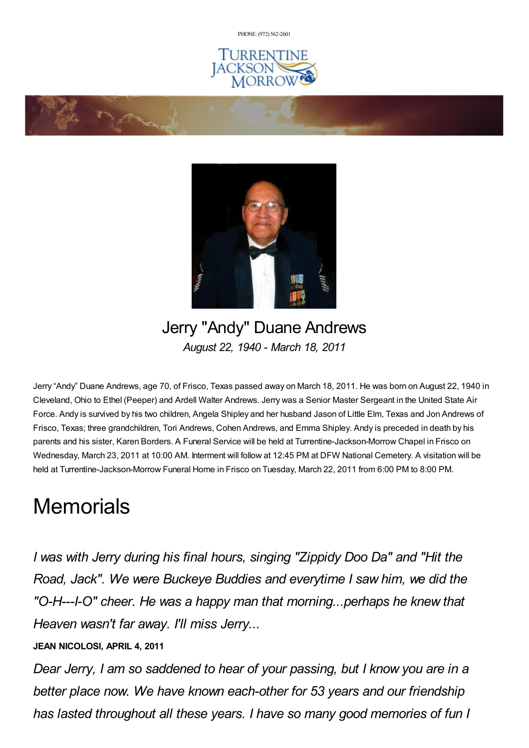PHONE: (972) [562-2601](tel:(972) 562-2601)







## Jerry "Andy" Duane Andrews *August 22, 1940 - March 18, 2011*

Jerry "Andy" Duane Andrews, age 70, of Frisco, Texas passed away on March 18, 2011. He was born on August 22, 1940 in Cleveland, Ohio to Ethel (Peeper) and Ardell Walter Andrews. Jerry was a Senior Master Sergeant in the United State Air Force. Andy is survived by his two children, Angela Shipley and her husband Jason of Little Elm, Texas and Jon Andrews of Frisco, Texas; three grandchildren, Tori Andrews, Cohen Andrews, and Emma Shipley. Andy is preceded in death by his parents and his sister, Karen Borders. A Funeral Service will be held at Turrentine-Jackson-Morrow Chapel in Frisco on Wednesday, March 23, 2011 at 10:00 AM. Interment will follow at 12:45 PM at DFW National Cemetery. A visitation will be held at Turrentine-Jackson-Morrow Funeral Home in Frisco on Tuesday, March 22, 2011 from 6:00 PM to 8:00 PM.

## **Memorials**

*I was with Jerry during his final hours, singing "Zippidy Doo Da" and "Hit the Road, Jack". We were Buckeye Buddies and everytime I saw him, we did the "O-H---I-O" cheer. He was a happy man that morning...perhaps he knew that Heaven wasn't far away. I'll miss Jerry...*

## **JEAN NICOLOSI, APRIL 4, 2011**

*Dear Jerry, I am so saddened to hear of your passing, but I know you are in a better place now. We have known each-other for 53 years and our friendship has lasted throughout all these years. I have so many good memories of fun I*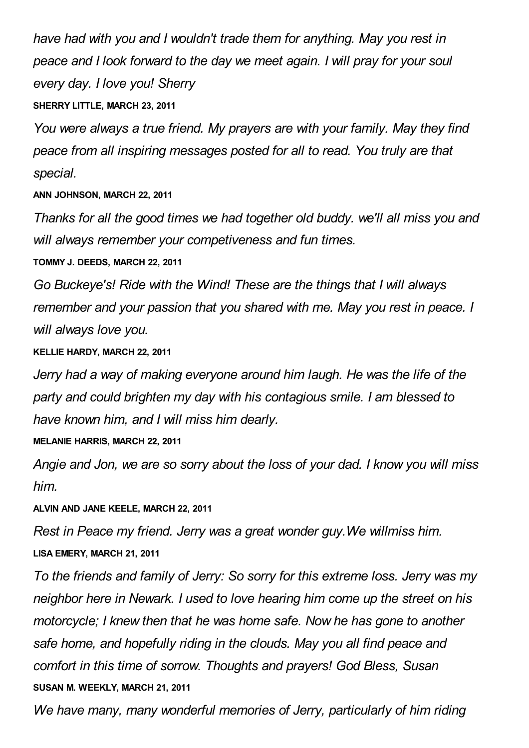*have had with you and I wouldn't trade them for anything. May you rest in peace and I look forward to the day we meet again. I will pray for your soul every day. I love you! Sherry* **SHERRY LITTLE, MARCH 23, 2011**

*You were always a true friend. My prayers are with your family. May they find peace from all inspiring messages posted for all to read. You truly are that special.*

## **ANN JOHNSON, MARCH 22, 2011**

*Thanks for all the good times we had together old buddy. we'll all miss you and will always remember your competiveness and fun times.*

**TOMMY J. DEEDS, MARCH 22, 2011**

*Go Buckeye's! Ride with the Wind! These are the things that I will always remember and your passion that you shared with me. May you rest in peace. I will always love you.*

**KELLIE HARDY, MARCH 22, 2011**

*Jerry had a way of making everyone around him laugh. He was the life of the party and could brighten my day with his contagious smile. I am blessed to have known him, and I will miss him dearly.*

**MELANIE HARRIS, MARCH 22, 2011**

*Angie and Jon, we are so sorry about the loss of your dad. I know you will miss him.*

**ALVIN AND JANE KEELE, MARCH 22, 2011**

*Rest in Peace my friend. Jerry was a great wonder guy.We willmiss him.* **LISA EMERY, MARCH 21, 2011**

*To the friends and family of Jerry: So sorry for this extreme loss. Jerry was my neighbor here in Newark. I used to love hearing him come up the street on his motorcycle; I knew then that he was home safe. Now he has gone to another safe home, and hopefully riding in the clouds. May you all find peace and comfort in this time of sorrow. Thoughts and prayers! God Bless, Susan* **SUSAN M. WEEKLY, MARCH 21, 2011**

*We have many, many wonderful memories of Jerry, particularly of him riding*